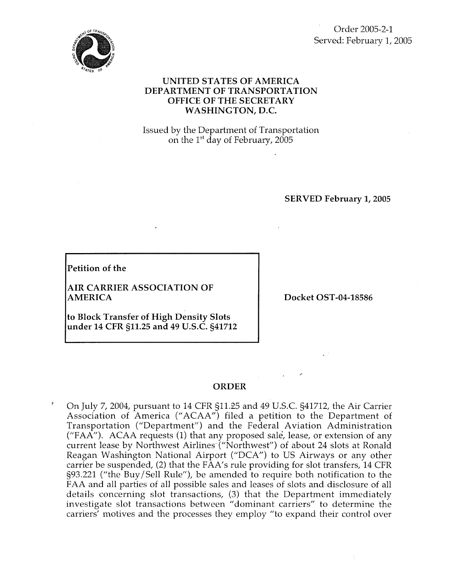

Order 2005-2-1 Served: February 1, 2005

### **UNITED STATES OF AMERICA DEPARTMENT OF TRANSPORTATION OFFICE OF THE SECRETARY WASHINGTON, D.C.**

Issued by the Department of Transportation on the  $1<sup>st</sup>$  day of February, 2005

**SERVED February 1,2005** 

**Petition of the** 

**AIR CARRIER ASSOCIATION OF AMERICA** 

**to Block Transfer of High Density Slots under 14 CFR 511.25 and 49 U.S.C. 541712**  **Docket OST-04-18586** 

,-

#### **ORDER**

 $\degree$  On July 7, 2004, pursuant to 14 CFR  $\S11.25$  and 49 U.S.C.  $\S41712$ , the Air Carrier Association of America ("ACAA") filed a petition to the Department of Transportation ("Department") and the Federal Aviation Administration ("FAA"). ACAA requests  $(1)$  that any proposed sale, lease, or extension of any current lease by Northwest Airlines ("Northwest") of about 24 slots at Ronald Reagan Washington National Airport ("DCA") to US Airways or any other carrier be suspended, (2) that the FAA's rule providing for slot transfers, 14 CFR 593.221 ("the Buy/Sell Rule"), be amended to require both notification to the FAA and all parties of all possible sales and leases of slots and disclosure of all details concerning slot transactions, (3) that the Department immediately investigate slot transactions between "dominant carriers" to determine the carriers' motives and the processes they employ "to expand their control over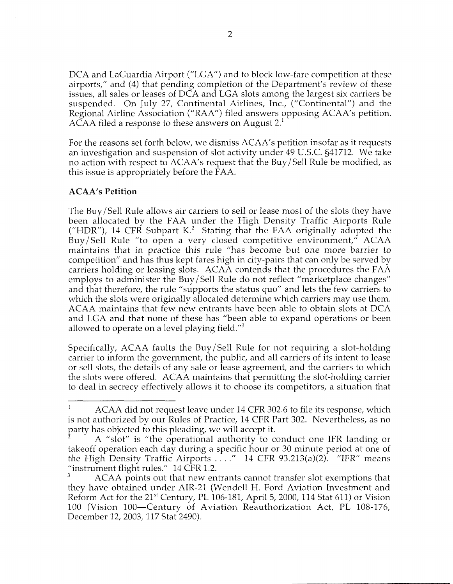DCA and LaGuardia Airport ("LGA") and to block low-fare competition at these airports," and (4) that pending completion of the Department's review of these issues, all sales or leases of DCA and LGA slots among the largest six carriers be suspended. On July 27, Continental Airlines, Inc., ("Continental") and the Regional Airline Association ("RAA") filed answers opposing ACAA's petition. ACAA filed a response to these answers on August 2.'

For the reasons set forth below, we dismiss ACAA's petition insofar as it requests an investigation and suspension of slot activity under 49 U.S.C. g41712. We take no action with respect to ACAA's request that the Buy/Sell Rule be modified, as this issue is appropriately before the FAA.

### **ACAA's Petition**

The Buy/Sell Rule allows air carriers to sell or lease most of the slots they have been allocated by the FAA under the High Density Traffic Airports Rule ("HDR"), 14 CFR Subpart K.<sup>2</sup> Stating that the FAA originally adopted the Buy/Sell Rule "to open a very closed competitive environment," ACAA maintains that in practice this rule "has become but one more barrier to competition" and has thus kept fares high in city-pairs that can only be served by carriers holding or leasing slots. ACAA contends that the procedures the FAA employs to administer the Buy/Sell Rule do not reflect "marketplace changes" and that therefore, the rule "supports the status quo" and lets the few carriers to which the slots were originally allocated determine which carriers may use them. ACAA maintains that few new entrants have been able to obtain slots at DCA and LGA and that none of these has "been able to expand operations or been allowed to operate on a level playing field. $^{\prime\prime}$ <sup>3</sup>

Specifically, ACAA faults the Buy / Sell Rule for not requiring a slot-holding carrier to inform the government, the public, and all carriers of its intent to lease or sell slots, the details of any sale or lease agreement, and the carriers to which the slots were offered. ACAA maintains that permitting the slot-holding carrier to deal in secrecy effectively allows it to choose its competitors, a situation that

ACAA did not request leave under 14 CFR 302.6 to file its response, which is not authorized by our Rules of Practice, 14 CFR Part 302. Nevertheless, as no party has objected to this pleading, we will accept it. 1

A "slot" is "the operational authority to conduct one IFR landing or takeoff operation each day during a specific hour or 30 minute period at one of the High Density Traffic Airports  $\dots$ ." 14 CFR 93.213(a)(2). "IFR" means "instrument flight rules.'' 14 CFR 1.2.

ACAA points out that new entrants cannot transfer slot exemptions that they have obtained under AIR-21 (Wendell H. Ford Aviation Investment and Reform Act for the  $21^{st}$  Century, PL 106-181, April 5, 2000, 114 Stat 611) or Vision 100 (Vision 100-Century of Aviation Reauthorization Act, PL 108-176, December 12, 2003, 117 Stat 2490). *3*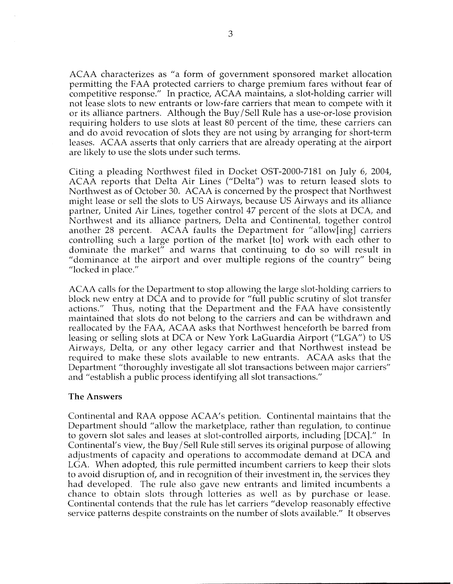ACAA characterizes as "a form of government sponsored market allocation permitting the FAA protected carriers to charge premium fares without fear of competitive response." In practice, ACAA maintains, a slot-holding carrier will not lease slots to new entrants or low-fare carriers that mean to compete with it or its alliance partners. Although the Buy/Sell Rule has a use-or-lose provision requiring holders to use slots at least 80 percent of the time, these carriers can and do avoid revocation of slots they are not using by arranging for short-term leases. ACAA asserts that only carriers that are already operating at the airport are likely to use the slots under such terms.

Citing a pleading Northwest filed in Docket OST-2000-7181 on July 6, 2004, ACAA reports that Delta Air Lines ("Delta") was to return leased slots to Northwest as of October 30. ACAA is concerned by the prospect that Northwest might lease or sell the slots to US Airways, because US Airways and its alliance partner, United Air Lines, together control 47 percent of the slots at DCA, and Northwest and its alliance partners, Delta and Continental, together control another 28 percent. ACAA faults the Department for "allow[ing] carriers controlling such a large portion of the market [to] work with each other to dominate the market'' and warns that continuing to do *so* will result in "dominance at the airport and over multiple regions of the country" being "locked in place."

ACAA calls for the Department to stop allowing the large slot-holding carriers to block new entry at DCA and to provide for "full public scrutiny of slot transfer actions.'' Thus, noting that the Department and the FAA have consistently maintained that slots do not belong to the carriers and can be withdrawn and reallocated by the FAA, ACAA asks that Northwest henceforth be barred from leasing or selling slots at DCA or New York LaGuardia Airport ("LGA") to US Airways, Delta, or any other legacy carrier and that Northwest instead be required to make these slots available to new entrants. ACAA asks that the Department "thoroughly investigate all slot transactions between major carriers" and "establish a public process identifying all slot transactions."

### **The Answers**

Continental and RAA oppose ACAA's petition. Continental maintains that the Department should "allow the marketplace, rather than regulation, to continue to govern slot sales and leases at slot-controlled airports, including [DCA] ." In Continental's view, the Buy / Sell Rule still serves its original purpose of allowing adjustments of capacity and operations to accommodate demand at DCA and LGA. When adopted, this rule permitted incumbent carriers to keep their slots to avoid disruption of, and in recognition of their investment in, the services they had developed. The rule also gave new entrants and limited incumbents a chance to obtain slots through lotteries as well as by purchase or lease. Continental contends that the rule has let carriers "develop reasonably effective service patterns despite constraints on the number of slots available." It observes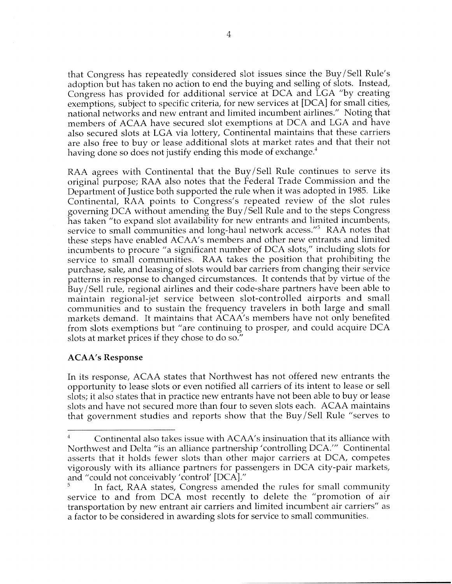that Congress has repeatedly considered slot issues since the Buy / Sell Rule's adoption but has taken no action to end the buying and selling of slots. Instead, Congress has provided for additional service at DCA and LGA "by creating exemptions, subject to specific criteria, for new services at [PCA] for small cities, national networks and new entrant and limited incumbent airlines." Noting that members of ACAA have secured slot exemptions at DCA and LGA and have also secured slots at LGA via lottery, Continental maintains that these carriers are also free to buy or lease additional slots at market rates and that their not having done so does not justify ending this mode of exchange.<sup>4</sup>

RAA agrees with Continental that the Buy/Sell Rule continues to serve its original purpose; RAA also notes that the Federal Trade Commission and the Department of Justice both supported the rule when it was adopted in 1985. Like Continental, RAA points to Congress's repeated review of the slot rules governing DCA without amending the Buy/Sell Rule and to the steps Congress has taken "to expand slot availability for new entrants and limited incumbents, service to small communities and long-haul network access."<sup>5</sup> RAA notes that these steps have enabled ACAA's members and other new entrants and limited incumbents to procure ''a significant number of DCA slots," including slots for service to small communities. RAA takes the position that prohibiting the purchase, sale, and leasing of slots would bar carriers from changing their service patterns in response to changed circumstances. It contends that by virtue of the Buy/Sell rule, regional airlines and their code-share partners have been able to maintain regional-jet service between slot-controlled airports and small communities and to sustain the frequency travelers in both large and small markets demand. It maintains that ACAA's members have not only benefited from slots exemptions but "are continuing to prosper, and could acquire DCA slots at market prices if they chose to do *so."* 

# **ACAA's Response**

In its response, ACAA states that Northwest has not offered new entrants the opportunity to lease slots or even notified all carriers of its intent to lease or sell slots; it also states that in practice new entrants have not been able to buy or lease slots and have not secured more than four to seven slots each. ACAA maintains that government studies and reports show that the Buy/Sell Rule "serves to

Continental also takes issue with ACAA's insinuation that its alliance with Northwest and Delta "is an alliance partnership 'controlling DCA."' Continental asserts that it holds fewer slots than other major carriers at DCA, competes vigorously with its alliance partners for passengers in DCA city-pair markets, and "could not conceivably 'control' [DCA] ." 4

<sup>5</sup> In fact, RAA states, Congress amended the rules for small community service to and from DCA most recently to delete the "promotion of air transportation by new entrant air carriers and limited incumbent air carriers'' as a factor to be considered in awarding slots for service to small communities.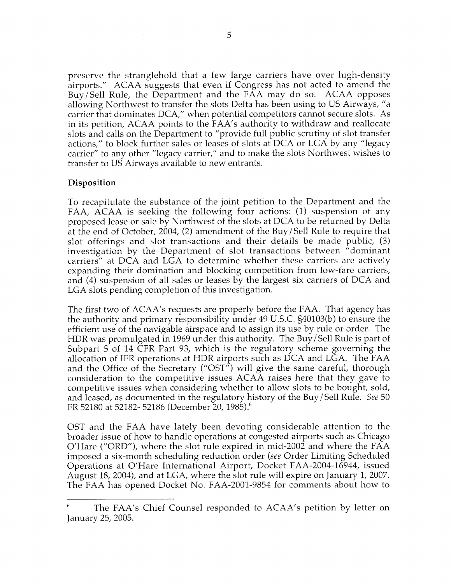preserve the stranglehold that a few large carriers have over high-density airports." ACAA suggests that even if Congress has not acted to amend the Buy/Sell Rule, the Department and the FAA may do *so.* ACAA opposes allowing Northwest to transfer the slots Delta has been using to US Airways, "a carrier that dominates DCA," when potential competitors cannot secure slots. As in its petition, ACAA points to the FAA's authority to withdraw and reallocate slots and calls on the Department to "provide full public scrutiny of slot transfer actions,'' to block further sales or leases of slots at DCA or LGA by any "legacy carrier" to any other "legacy carrier," and to make the slots Northwest wishes to transfer to US Airways available to new entrants.

# **Disposition**

To recapitulate the substance of the joint petition to the Department and the FAA, ACAA is seeking the following four actions: (1) suspension of any proposed lease or sale by Northwest of the slots at DCA to be returned by Delta at the end of October, 2004, (2) amendment of the Buy/Sell Rule to require that slot offerings and slot transactions and their details be made public, (3) investigation by the Department of slot transactions between "dominant carriers" at DCA and LGA to determine whether these carriers are actively expanding their domination and blocking competition from low-fare carriers, and (4) suspension of all sales or leases by the largest six carriers of DCA and LGA slots pending completion of this investigation.

The first two of ACAA's requests are properly before the FAA. That agency has the authority and primary responsibility under 49 U.S.C. §40103(b) to ensure the efficient use of the navigable airspace and to assign its use by rule or order. The HDR was promulgated in 1969 under this authority. The Buy/Sell Rule is part of Subpart S of 14 CFR Part 93, which is the regulatory scheme governing the allocation of IFR operations at HDR airports such as DCA and LGA. The FAA and the Office of the Secretary ("OST") will give the same careful, thorough consideration to the competitive issues ACAA raises here that they gave to competitive issues when considering whether to allow slots to be bought, sold, and leased, as documented in the regulatory history of the Buy/Sell Rule. *See* 50 FR 52180 at 52182- 52186 (December 20, 1985).<sup>6</sup>

OST and the FAA have lately been devoting considerable attention to the broader issue of how to handle operations at congested airports such as Chicago O'Hare ("ORD"), where the slot rule expired in mid-2002 and where the FAA imposed a six-month scheduling reduction order (see Order Limiting Scheduled Operations at O'Hare International Airport, Docket FAA-2004-16944, issued August 18, 2004), and at LGA, where the slot rule will expire on January 1, 2007. The FAA has opened Docket No. FAA-2001-9854 for comments about how to

The FAA's Chief Counsel responded to ACAA's petition by letter on 6 January 25, 2005.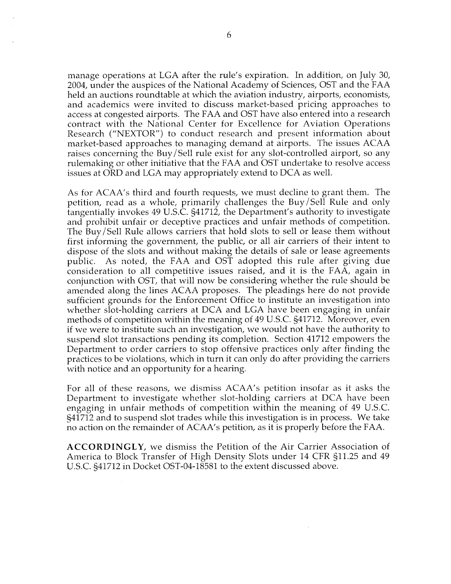manage operations at LGA after the rule's expiration. In addition, on July 30, 2004, under the auspices of the National Academy of Sciences, OST and the FAA held an auctions roundtable at which the aviation industry, airports, economists, and academics were invited to discuss market-based pricing approaches to access at congested airports. The FAA and OST have also entered into a research contract with the National Center for Excellence for Aviation Operations Research ("NEXTOR") to conduct research and present information about market-based approaches to managing demand at airports. The issues ACAA raises concerning the Buy/Sell rule exist for any slot-controlled airport, so any rulemaking or other initiative that the FAA and OST undertake to resolve access issues at ORD and LGA may appropriately extend to DCA as well.

As for ACAA's third and fourth requests, we must decline to grant them. The petition, read as a whole, primarily challenges the Buy/Sell Rule and only tangentially invokes 49 U.S.C. 541712, the Department's authority to investigate and prohibit unfair or deceptive practices and unfair methods of competition. The Buy/Sell Rule allows carriers that hold slots to sell or lease them without first informing the government, the public, or all air carriers of their intent to dispose of the slots and without making the details of sale or lease agreements public. As noted, the FAA and OST adopted this rule after giving due consideration to all competitive issues raised, and it is the FAA, again in conjunction with OST, that will now be considering whether the rule should be amended along the lines ACAA proposes. The pleadings here do not provide sufficient grounds for the Enforcement Office to institute an investigation into whether slot-holding carriers at DCA and LGA have been engaging in unfair methods of competition within the meaning of 49 U.S.C. 541712. Moreover, even if we were to institute such an investigation, we would not have the authority to suspend slot transactions pending its completion. Section 41712 empowers the Department to order carriers to stop offensive practices only after finding the practices to be violations, which in turn it can only do after providing the carriers with notice and an opportunity for a hearing.

For all of these reasons, we dismiss ACAA's petition insofar as it asks the Department to investigate whether slot-holding carriers at DCA have been engaging in unfair methods of competition within the meaning of 49 U.S.C. 541712 and to suspend slot trades while this investigation is in process. We take no action on the remainder of ACAA's petition, as it is properly before the FAA.

**ACCORDINGLY,** we dismiss the Petition of the Air Carrier Association of America to Block Transfer of High Density Slots under 14 CFR 511.25 and 49 U.S.C. 541712 in Docket OST-04-18581 to the extent discussed above.